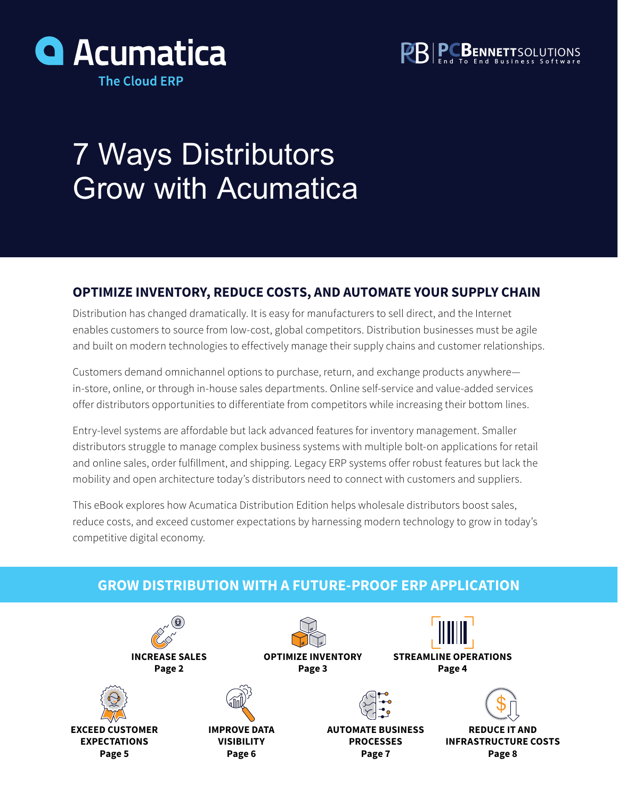



# 7 Ways Distributors Grow with Acumatica

### **OPTIMIZE INVENTORY, REDUCE COSTS, AND AUTOMATE YOUR SUPPLY CHAIN**

Distribution has changed dramatically. It is easy for manufacturers to sell direct, and the Internet enables customers to source from low-cost, global competitors. Distribution businesses must be agile and built on modern technologies to effectively manage their supply chains and customer relationships.

Customers demand omnichannel options to purchase, return, and exchange products anywhere in-store, online, or through in-house sales departments. Online self-service and value-added services offer distributors opportunities to differentiate from competitors while increasing their bottom lines.

Entry-level systems are affordable but lack advanced features for inventory management. Smaller distributors struggle to manage complex business systems with multiple bolt-on applications for retail and online sales, order fulfillment, and shipping. Legacy ERP systems offer robust features but lack the mobility and open architecture today's distributors need to connect with customers and suppliers.

This eBook explores how Acumatica Distribution Edition helps wholesale distributors boost sales, reduce costs, and exceed customer expectations by harnessing modern technology to grow in today's competitive digital economy.

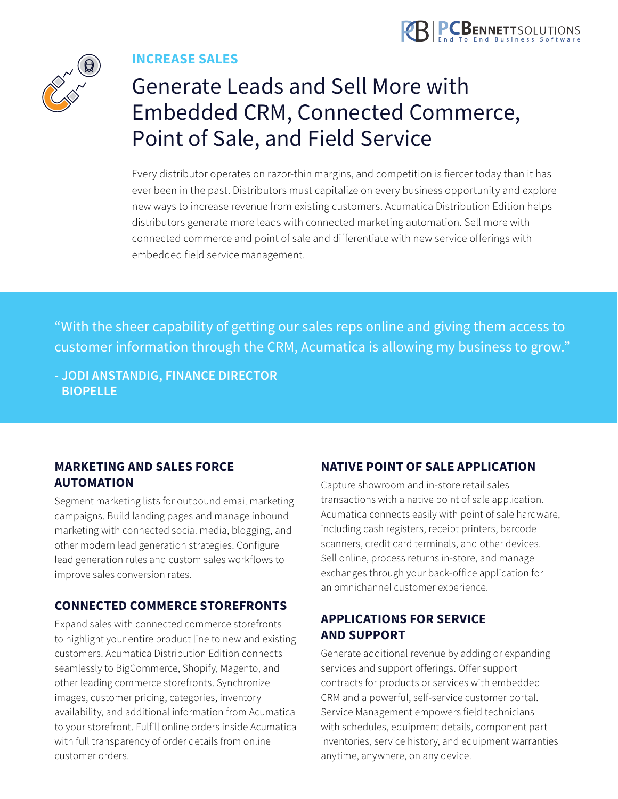

<span id="page-1-0"></span>

**INCREASE SALES**

### Generate Leads and Sell More with Embedded CRM, Connected Commerce, Point of Sale, and Field Service

Every distributor operates on razor-thin margins, and competition is fiercer today than it has ever been in the past. Distributors must capitalize on every business opportunity and explore new ways to increase revenue from existing customers. Acumatica Distribution Edition helps distributors generate more leads with connected marketing automation. Sell more with connected commerce and point of sale and differentiate with new service offerings with embedded field service management.

"With the sheer capability of getting our sales reps online and giving them access to customer information through the CRM, Acumatica is allowing my business to grow."

**- JODI ANSTANDIG, FINANCE DIRECTOR BIOPELLE**

### **MARKETING AND SALES FORCE AUTOMATION**

Segment marketing lists for outbound email marketing campaigns. Build landing pages and manage inbound marketing with connected social media, blogging, and other modern lead generation strategies. Configure lead generation rules and custom sales workflows to improve sales conversion rates.

### **CONNECTED COMMERCE STOREFRONTS**

Expand sales with connected commerce storefronts to highlight your entire product line to new and existing customers. Acumatica Distribution Edition connects seamlessly to BigCommerce, Shopify, Magento, and other leading commerce storefronts. Synchronize images, customer pricing, categories, inventory availability, and additional information from Acumatica to your storefront. Fulfill online orders inside Acumatica with full transparency of order details from online customer orders.

### **NATIVE POINT OF SALE APPLICATION**

Capture showroom and in-store retail sales transactions with a native point of sale application. Acumatica connects easily with point of sale hardware, including cash registers, receipt printers, barcode scanners, credit card terminals, and other devices. Sell online, process returns in-store, and manage exchanges through your back-office application for an omnichannel customer experience.

### **APPLICATIONS FOR SERVICE AND SUPPORT**

Generate additional revenue by adding or expanding services and support offerings. Offer support contracts for products or services with embedded CRM and a powerful, self-service customer portal. Service Management empowers field technicians with schedules, equipment details, component part inventories, service history, and equipment warranties anytime, anywhere, on any device.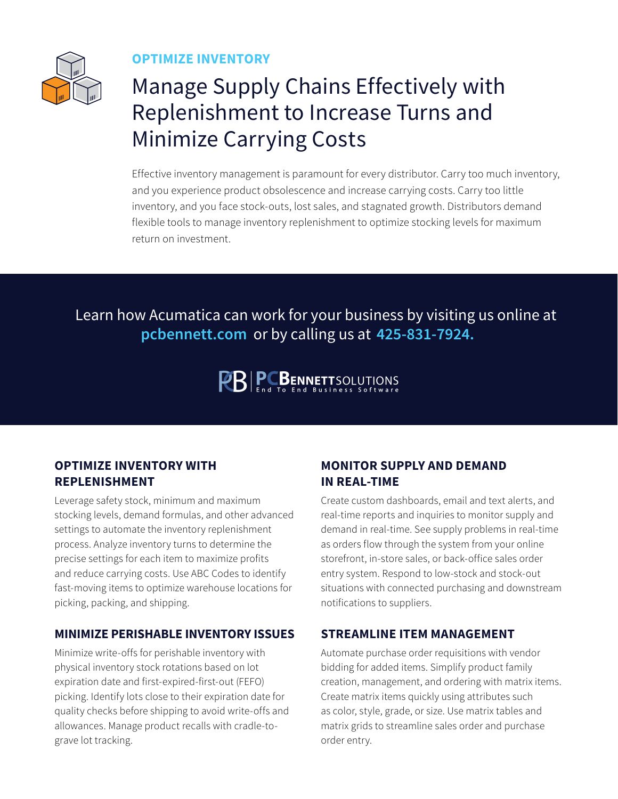<span id="page-2-0"></span>

**OPTIMIZE INVENTORY**

### Manage Supply Chains Effectively with Replenishment to Increase Turns and Minimize Carrying Costs

Effective inventory management is paramount for every distributor. Carry too much inventory, and you experience product obsolescence and increase carrying costs. Carry too little inventory, and you face stock-outs, lost sales, and stagnated growth. Distributors demand flexible tools to manage inventory replenishment to optimize stocking levels for maximum return on investment.

Learn how Acumatica can work for your business by visiting us online at **pcbennett.com** or by calling us at **425-831-7924.**

**PRIPOBENNETTSOLUTIONS** 

### **OPTIMIZE INVENTORY WITH REPLENISHMENT**

Leverage safety stock, minimum and maximum stocking levels, demand formulas, and other advanced settings to automate the inventory replenishment process. Analyze inventory turns to determine the precise settings for each item to maximize profits and reduce carrying costs. Use ABC Codes to identify fast-moving items to optimize warehouse locations for picking, packing, and shipping.

#### **MINIMIZE PERISHABLE INVENTORY ISSUES**

Minimize write-offs for perishable inventory with physical inventory stock rotations based on lot expiration date and first-expired-first-out (FEFO) picking. Identify lots close to their expiration date for quality checks before shipping to avoid write-offs and allowances. Manage product recalls with cradle-tograve lot tracking.

### **MONITOR SUPPLY AND DEMAND IN REAL-TIME**

Create custom dashboards, email and text alerts, and real-time reports and inquiries to monitor supply and demand in real-time. See supply problems in real-time as orders flow through the system from your online storefront, in-store sales, or back-office sales order entry system. Respond to low-stock and stock-out situations with connected purchasing and downstream notifications to suppliers.

### **STREAMLINE ITEM MANAGEMENT**

Automate purchase order requisitions with vendor bidding for added items. Simplify product family creation, management, and ordering with matrix items. Create matrix items quickly using attributes such as color, style, grade, or size. Use matrix tables and matrix grids to streamline sales order and purchase order entry.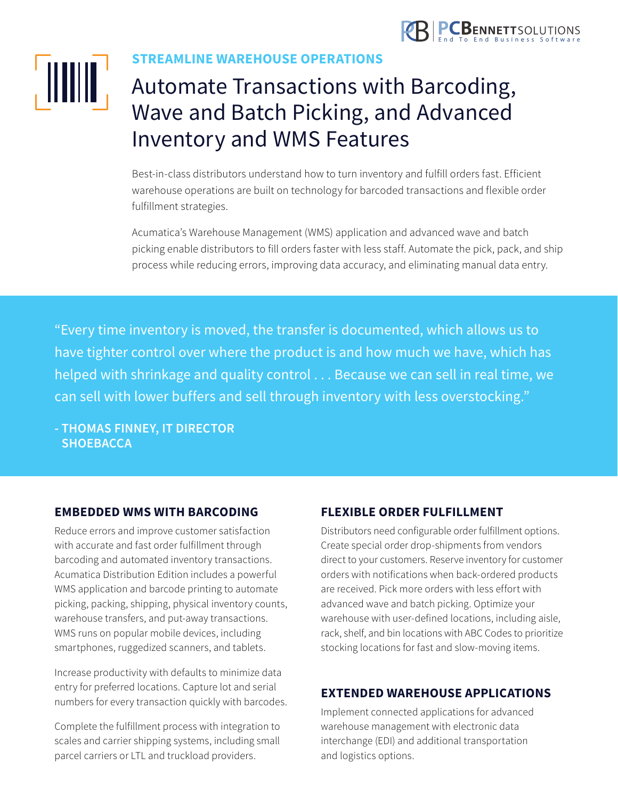

<span id="page-3-0"></span>

**STREAMLINE WAREHOUSE OPERATIONS**

### Automate Transactions with Barcoding, Wave and Batch Picking, and Advanced Inventory and WMS Features

Best-in-class distributors understand how to turn inventory and fulfill orders fast. Efficient warehouse operations are built on technology for barcoded transactions and flexible order fulfillment strategies.

Acumatica's Warehouse Management (WMS) application and advanced wave and batch picking enable distributors to fill orders faster with less staff. Automate the pick, pack, and ship process while reducing errors, improving data accuracy, and eliminating manual data entry.

"Every time inventory is moved, the transfer is documented, which allows us to have tighter control over where the product is and how much we have, which has helped with shrinkage and quality control . . . Because we can sell in real time, we can sell with lower buffers and sell through inventory with less overstocking."

**- THOMAS FINNEY, IT DIRECTOR SHOEBACCA**

#### **EMBEDDED WMS WITH BARCODING**

Reduce errors and improve customer satisfaction with accurate and fast order fulfillment through barcoding and automated inventory transactions. Acumatica Distribution Edition includes a powerful WMS application and barcode printing to automate picking, packing, shipping, physical inventory counts, warehouse transfers, and put-away transactions. WMS runs on popular mobile devices, including smartphones, ruggedized scanners, and tablets.

Increase productivity with defaults to minimize data entry for preferred locations. Capture lot and serial numbers for every transaction quickly with barcodes.

Complete the fulfillment process with integration to scales and carrier shipping systems, including small parcel carriers or LTL and truckload providers.

### **FLEXIBLE ORDER FULFILLMENT**

Distributors need configurable order fulfillment options. Create special order drop-shipments from vendors direct to your customers. Reserve inventory for customer orders with notifications when back-ordered products are received. Pick more orders with less effort with advanced wave and batch picking. Optimize your warehouse with user-defined locations, including aisle, rack, shelf, and bin locations with ABC Codes to prioritize stocking locations for fast and slow-moving items.

### **EXTENDED WAREHOUSE APPLICATIONS**

Implement connected applications for advanced warehouse management with electronic data interchange (EDI) and additional transportation and logistics options.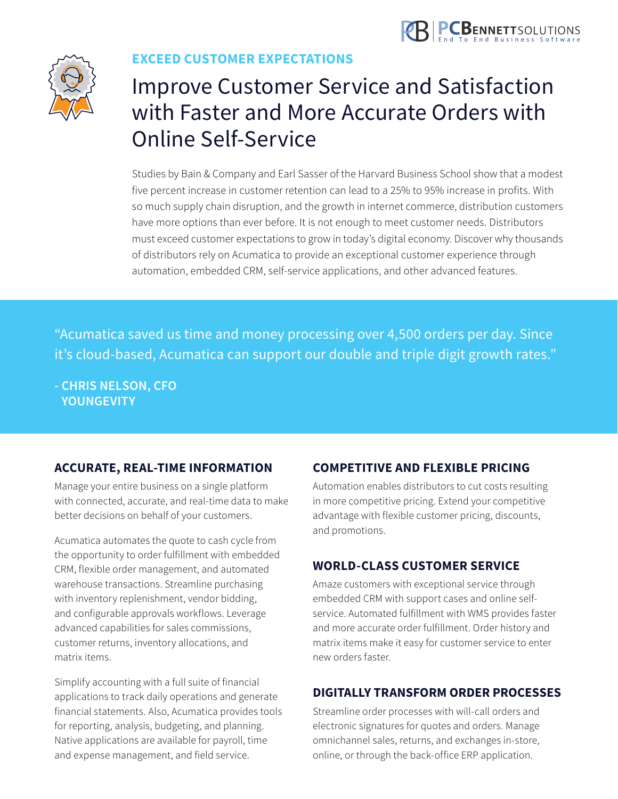

<span id="page-4-0"></span>

### **EXCEED CUSTOMER EXPECTATIONS**

### Improve Customer Service and Satisfaction with Faster and More Accurate Orders with Online Self-Service

Studies by Bain & Company and Earl Sasser of the Harvard Business School show that a modest five percent increase in customer retention can lead to a 25% to 95% increase in profits. With so much supply chain disruption, and the growth in internet commerce, distribution customers have more options than ever before. It is not enough to meet customer needs. Distributors must exceed customer expectations to grow in today's digital economy. Discover why thousands of distributors rely on Acumatica to provide an exceptional customer experience through automation, embedded CRM, self-service applications, and other advanced features.

"Acumatica saved us time and money processing over 4,500 orders per day. Since it's cloud-based, Acumatica can support our double and triple digit growth rates."

**- CHRIS NELSON, CFO YOUNGEVITY**

### **ACCURATE, REAL-TIME INFORMATION**

Manage your entire business on a single platform with connected, accurate, and real-time data to make better decisions on behalf of your customers.

Acumatica automates the quote to cash cycle from the opportunity to order fulfillment with embedded CRM, flexible order management, and automated warehouse transactions. Streamline purchasing with inventory replenishment, vendor bidding, and configurable approvals workflows. Leverage advanced capabilities for sales commissions, customer returns, inventory allocations, and matrix items.

Simplify accounting with a full suite of financial applications to track daily operations and generate financial statements. Also, Acumatica provides tools for reporting, analysis, budgeting, and planning. Native applications are available for payroll, time and expense management, and field service.

### **COMPETITIVE AND FLEXIBLE PRICING**

Automation enables distributors to cut costs resulting in more competitive pricing. Extend your competitive advantage with flexible customer pricing, discounts, and promotions.

### **WORLD-CLASS CUSTOMER SERVICE**

Amaze customers with exceptional service through embedded CRM with support cases and online selfservice. Automated fulfillment with WMS provides faster and more accurate order fulfillment. Order history and matrix items make it easy for customer service to enter new orders faster.

### **DIGITALLY TRANSFORM ORDER PROCESSES**

Streamline order processes with will-call orders and electronic signatures for quotes and orders. Manage omnichannel sales, returns, and exchanges in-store, online, or through the back-office ERP application.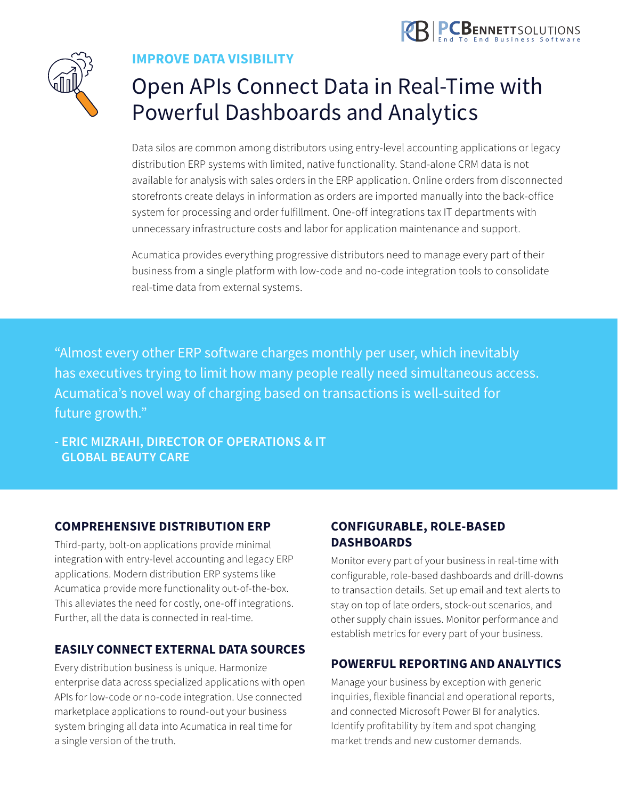

<span id="page-5-0"></span>

### **IMPROVE DATA VISIBILITY**

### Open APIs Connect Data in Real-Time with Powerful Dashboards and Analytics

Data silos are common among distributors using entry-level accounting applications or legacy distribution ERP systems with limited, native functionality. Stand-alone CRM data is not available for analysis with sales orders in the ERP application. Online orders from disconnected storefronts create delays in information as orders are imported manually into the back-office system for processing and order fulfillment. One-off integrations tax IT departments with unnecessary infrastructure costs and labor for application maintenance and support.

Acumatica provides everything progressive distributors need to manage every part of their business from a single platform with low-code and no-code integration tools to consolidate real-time data from external systems.

"Almost every other ERP software charges monthly per user, which inevitably has executives trying to limit how many people really need simultaneous access. Acumatica's novel way of charging based on transactions is well-suited for future growth."

**- ERIC MIZRAHI, DIRECTOR OF OPERATIONS & IT GLOBAL BEAUTY CARE**

### **COMPREHENSIVE DISTRIBUTION ERP**

Third-party, bolt-on applications provide minimal integration with entry-level accounting and legacy ERP applications. Modern distribution ERP systems like Acumatica provide more functionality out-of-the-box. This alleviates the need for costly, one-off integrations. Further, all the data is connected in real-time.

### **EASILY CONNECT EXTERNAL DATA SOURCES**

Every distribution business is unique. Harmonize enterprise data across specialized applications with open APIs for low-code or no-code integration. Use connected marketplace applications to round-out your business system bringing all data into Acumatica in real time for a single version of the truth.

### **CONFIGURABLE, ROLE-BASED DASHBOARDS**

Monitor every part of your business in real-time with configurable, role-based dashboards and drill-downs to transaction details. Set up email and text alerts to stay on top of late orders, stock-out scenarios, and other supply chain issues. Monitor performance and establish metrics for every part of your business.

### **POWERFUL REPORTING AND ANALYTICS**

Manage your business by exception with generic inquiries, flexible financial and operational reports, and connected Microsoft Power BI for analytics. Identify profitability by item and spot changing market trends and new customer demands.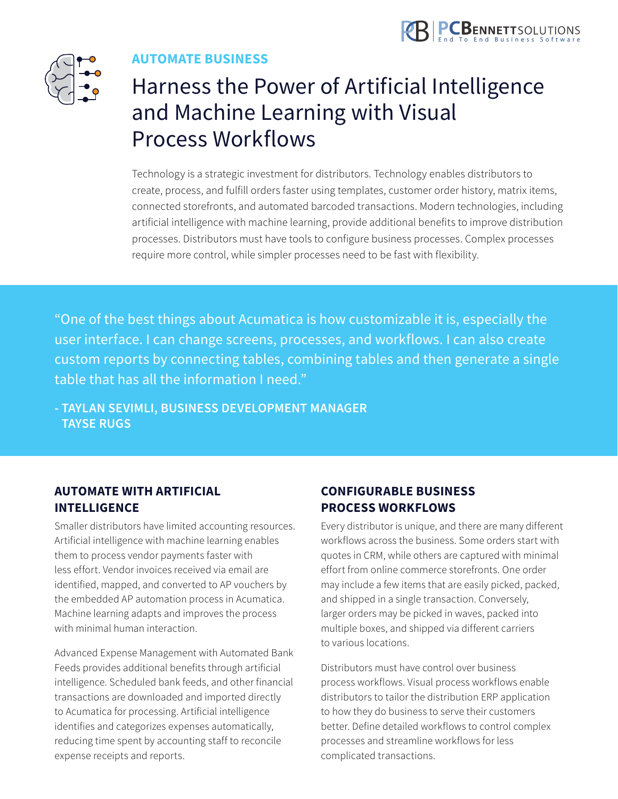

<span id="page-6-0"></span>

### **AUTOMATE BUSINESS**

### Harness the Power of Artificial Intelligence and Machine Learning with Visual Process Workflows

Technology is a strategic investment for distributors. Technology enables distributors to create, process, and fulfill orders faster using templates, customer order history, matrix items, connected storefronts, and automated barcoded transactions. Modern technologies, including artificial intelligence with machine learning, provide additional benefits to improve distribution processes. Distributors must have tools to configure business processes. Complex processes require more control, while simpler processes need to be fast with flexibility.

"One of the best things about Acumatica is how customizable it is, especially the user interface. I can change screens, processes, and workflows. I can also create custom reports by connecting tables, combining tables and then generate a single table that has all the information I need."

**- TAYLAN SEVIMLI, BUSINESS DEVELOPMENT MANAGER TAYSE RUGS**

### **AUTOMATE WITH ARTIFICIAL INTELLIGENCE**

Smaller distributors have limited accounting resources. Artificial intelligence with machine learning enables them to process vendor payments faster with less effort. Vendor invoices received via email are identified, mapped, and converted to AP vouchers by the embedded AP automation process in Acumatica. Machine learning adapts and improves the process with minimal human interaction.

Advanced Expense Management with Automated Bank Feeds provides additional benefits through artificial intelligence. Scheduled bank feeds, and other financial transactions are downloaded and imported directly to Acumatica for processing. Artificial intelligence identifies and categorizes expenses automatically, reducing time spent by accounting staff to reconcile expense receipts and reports.

### **CONFIGURABLE BUSINESS PROCESS WORKFLOWS**

Every distributor is unique, and there are many different workflows across the business. Some orders start with quotes in CRM, while others are captured with minimal effort from online commerce storefronts. One order may include a few items that are easily picked, packed, and shipped in a single transaction. Conversely, larger orders may be picked in waves, packed into multiple boxes, and shipped via different carriers to various locations.

Distributors must have control over business process workflows. Visual process workflows enable distributors to tailor the distribution ERP application to how they do business to serve their customers better. Define detailed workflows to control complex processes and streamline workflows for less complicated transactions.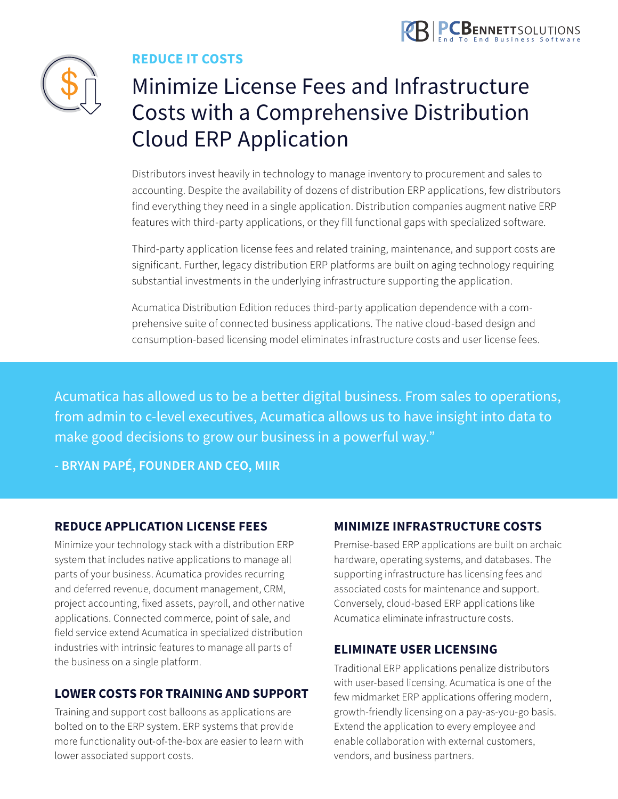

<span id="page-7-0"></span>

### **REDUCE IT COSTS**

### Minimize License Fees and Infrastructure Costs with a Comprehensive Distribution Cloud ERP Application

Distributors invest heavily in technology to manage inventory to procurement and sales to accounting. Despite the availability of dozens of distribution ERP applications, few distributors find everything they need in a single application. Distribution companies augment native ERP features with third-party applications, or they fill functional gaps with specialized software.

Third-party application license fees and related training, maintenance, and support costs are significant. Further, legacy distribution ERP platforms are built on aging technology requiring substantial investments in the underlying infrastructure supporting the application.

Acumatica Distribution Edition reduces third-party application dependence with a comprehensive suite of connected business applications. The native cloud-based design and consumption-based licensing model eliminates infrastructure costs and user license fees.

Acumatica has allowed us to be a better digital business. From sales to operations, from admin to c-level executives, Acumatica allows us to have insight into data to make good decisions to grow our business in a powerful way."

**- BRYAN PAPÉ, FOUNDER AND CEO, MIIR**

### **REDUCE APPLICATION LICENSE FEES**

Minimize your technology stack with a distribution ERP system that includes native applications to manage all parts of your business. Acumatica provides recurring and deferred revenue, document management, CRM, project accounting, fixed assets, payroll, and other native applications. Connected commerce, point of sale, and field service extend Acumatica in specialized distribution industries with intrinsic features to manage all parts of the business on a single platform.

### **LOWER COSTS FOR TRAINING AND SUPPORT**

Training and support cost balloons as applications are bolted on to the ERP system. ERP systems that provide more functionality out-of-the-box are easier to learn with lower associated support costs.

### **MINIMIZE INFRASTRUCTURE COSTS**

Premise-based ERP applications are built on archaic hardware, operating systems, and databases. The supporting infrastructure has licensing fees and associated costs for maintenance and support. Conversely, cloud-based ERP applications like Acumatica eliminate infrastructure costs.

#### **ELIMINATE USER LICENSING**

Traditional ERP applications penalize distributors with user-based licensing. Acumatica is one of the few midmarket ERP applications offering modern, growth-friendly licensing on a pay-as-you-go basis. Extend the application to every employee and enable collaboration with external customers, vendors, and business partners.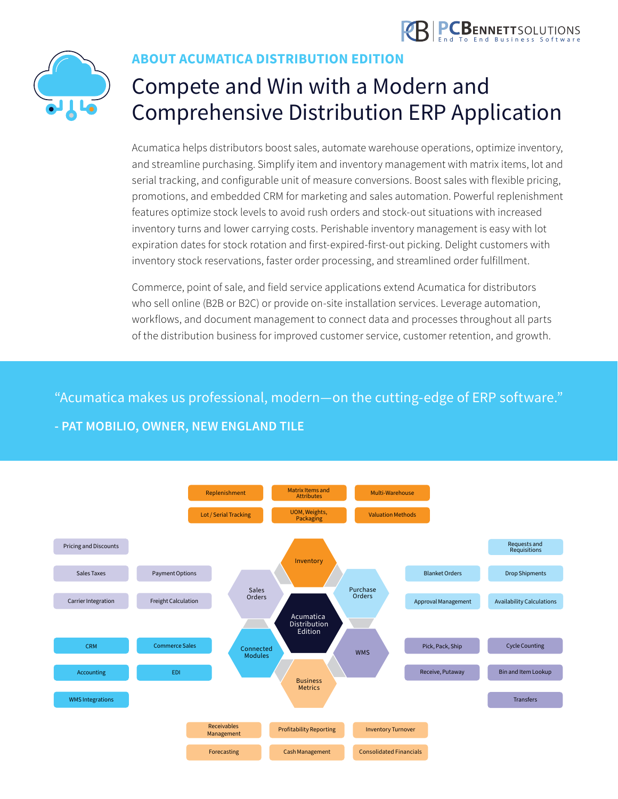



### **ABOUT ACUMATICA DISTRIBUTION EDITION**

## Compete and Win with a Modern and Comprehensive Distribution ERP Application

Acumatica helps distributors boost sales, automate warehouse operations, optimize inventory, and streamline purchasing. Simplify item and inventory management with matrix items, lot and serial tracking, and configurable unit of measure conversions. Boost sales with flexible pricing, promotions, and embedded CRM for marketing and sales automation. Powerful replenishment features optimize stock levels to avoid rush orders and stock-out situations with increased inventory turns and lower carrying costs. Perishable inventory management is easy with lot expiration dates for stock rotation and first-expired-first-out picking. Delight customers with inventory stock reservations, faster order processing, and streamlined order fulfillment.

Commerce, point of sale, and field service applications extend Acumatica for distributors who sell online (B2B or B2C) or provide on-site installation services. Leverage automation, workflows, and document management to connect data and processes throughout all parts of the distribution business for improved customer service, customer retention, and growth.

"Acumatica makes us professional, modern—on the cutting-edge of ERP software."

### **- PAT MOBILIO, OWNER, NEW ENGLAND TILE**